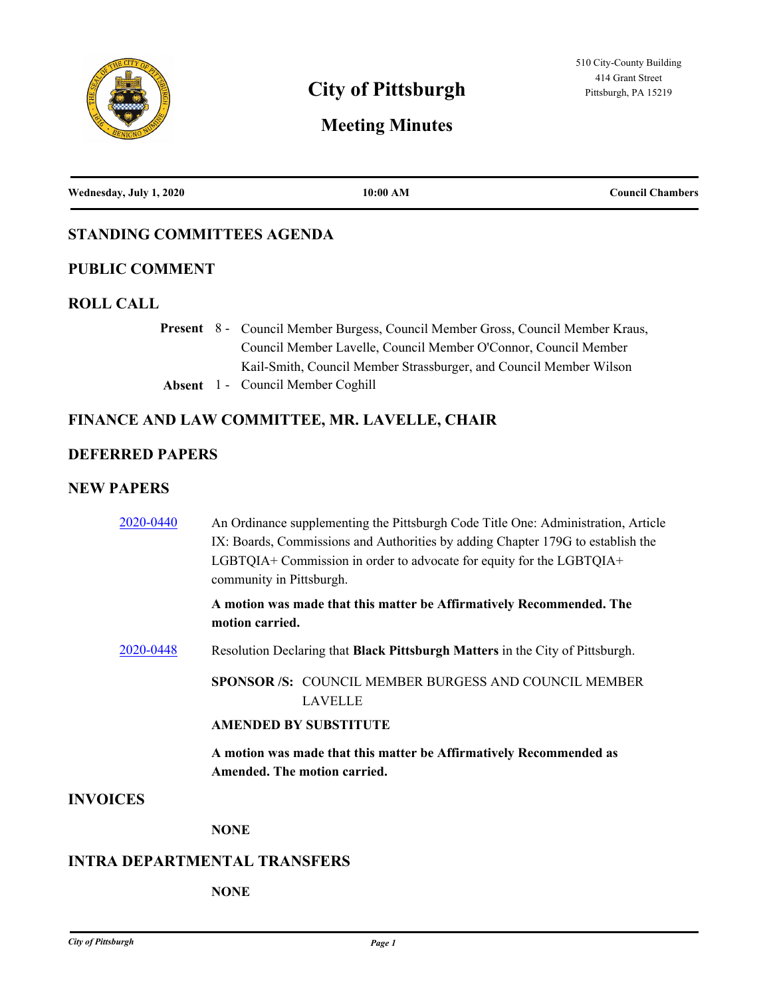

# **City of Pittsburgh Pittsburgh Pittsburgh, PA 15219**

# **Meeting Minutes**

**Wednesday, July 1, 2020 10:00 AM Council Chambers**

# **STANDING COMMITTEES AGENDA**

## **PUBLIC COMMENT**

#### **ROLL CALL**

Present 8 - Council Member Burgess, Council Member Gross, Council Member Kraus, Council Member Lavelle, Council Member O'Connor, Council Member Kail-Smith, Council Member Strassburger, and Council Member Wilson

**Absent** 1 - Council Member Coghill

# **FINANCE AND LAW COMMITTEE, MR. LAVELLE, CHAIR**

#### **DEFERRED PAPERS**

#### **NEW PAPERS**

| 2020-0440       | An Ordinance supplementing the Pittsburgh Code Title One: Administration, Article<br>IX: Boards, Commissions and Authorities by adding Chapter 179G to establish the<br>LGBTQIA+ Commission in order to advocate for equity for the LGBTQIA+<br>community in Pittsburgh. |
|-----------------|--------------------------------------------------------------------------------------------------------------------------------------------------------------------------------------------------------------------------------------------------------------------------|
|                 | A motion was made that this matter be Affirmatively Recommended. The<br>motion carried.                                                                                                                                                                                  |
| 2020-0448       | Resolution Declaring that Black Pittsburgh Matters in the City of Pittsburgh.                                                                                                                                                                                            |
|                 | <b>SPONSOR/S: COUNCIL MEMBER BURGESS AND COUNCIL MEMBER</b><br>LAVELLE                                                                                                                                                                                                   |
|                 | <b>AMENDED BY SUBSTITUTE</b>                                                                                                                                                                                                                                             |
|                 | A motion was made that this matter be Affirmatively Recommended as<br>Amended. The motion carried.                                                                                                                                                                       |
| <b>INVOICES</b> |                                                                                                                                                                                                                                                                          |
|                 | <b>NONE</b>                                                                                                                                                                                                                                                              |

#### **INTRA DEPARTMENTAL TRANSFERS**

#### **NONE**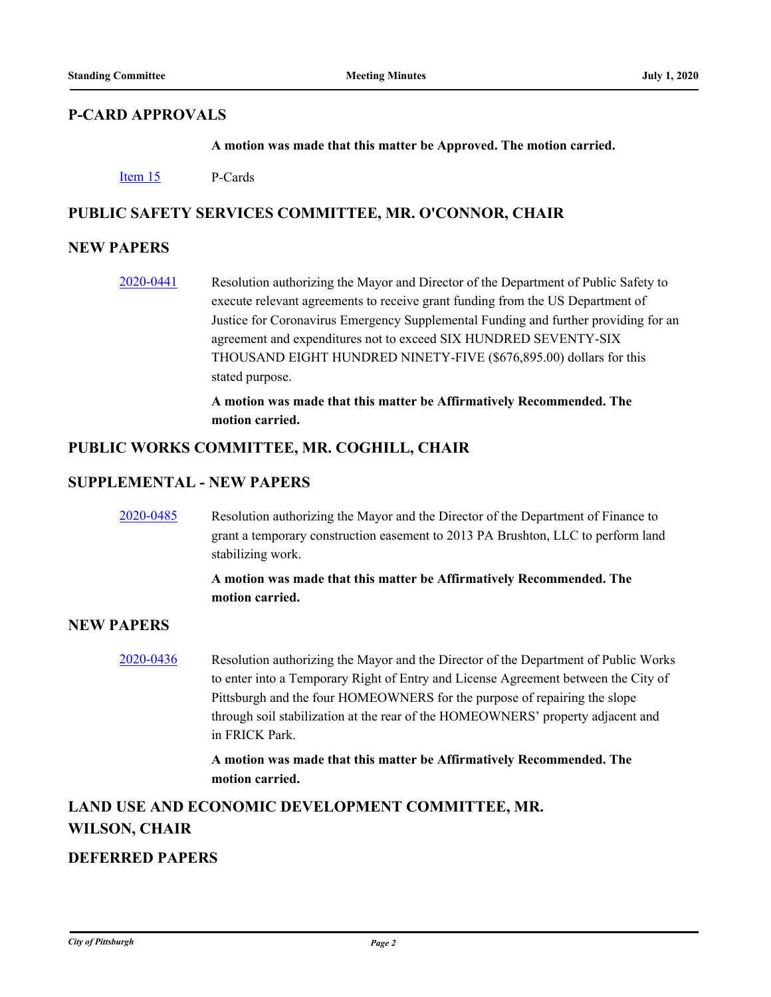# **P-CARD APPROVALS**

**A motion was made that this matter be Approved. The motion carried.**

[Item 15](http://pittsburgh.legistar.com/gateway.aspx?m=l&id=/matter.aspx?key=25297) P-Cards

# **PUBLIC SAFETY SERVICES COMMITTEE, MR. O'CONNOR, CHAIR**

## **NEW PAPERS**

[2020-0441](http://pittsburgh.legistar.com/gateway.aspx?m=l&id=/matter.aspx?key=25242) Resolution authorizing the Mayor and Director of the Department of Public Safety to execute relevant agreements to receive grant funding from the US Department of Justice for Coronavirus Emergency Supplemental Funding and further providing for an agreement and expenditures not to exceed SIX HUNDRED SEVENTY-SIX THOUSAND EIGHT HUNDRED NINETY-FIVE (\$676,895.00) dollars for this stated purpose.

> **A motion was made that this matter be Affirmatively Recommended. The motion carried.**

#### **PUBLIC WORKS COMMITTEE, MR. COGHILL, CHAIR**

#### **SUPPLEMENTAL - NEW PAPERS**

[2020-0485](http://pittsburgh.legistar.com/gateway.aspx?m=l&id=/matter.aspx?key=25287) Resolution authorizing the Mayor and the Director of the Department of Finance to grant a temporary construction easement to 2013 PA Brushton, LLC to perform land stabilizing work.

#### **A motion was made that this matter be Affirmatively Recommended. The motion carried.**

## **NEW PAPERS**

[2020-0436](http://pittsburgh.legistar.com/gateway.aspx?m=l&id=/matter.aspx?key=25237) Resolution authorizing the Mayor and the Director of the Department of Public Works to enter into a Temporary Right of Entry and License Agreement between the City of Pittsburgh and the four HOMEOWNERS for the purpose of repairing the slope through soil stabilization at the rear of the HOMEOWNERS' property adjacent and in FRICK Park.

> **A motion was made that this matter be Affirmatively Recommended. The motion carried.**

# **LAND USE AND ECONOMIC DEVELOPMENT COMMITTEE, MR. WILSON, CHAIR**

# **DEFERRED PAPERS**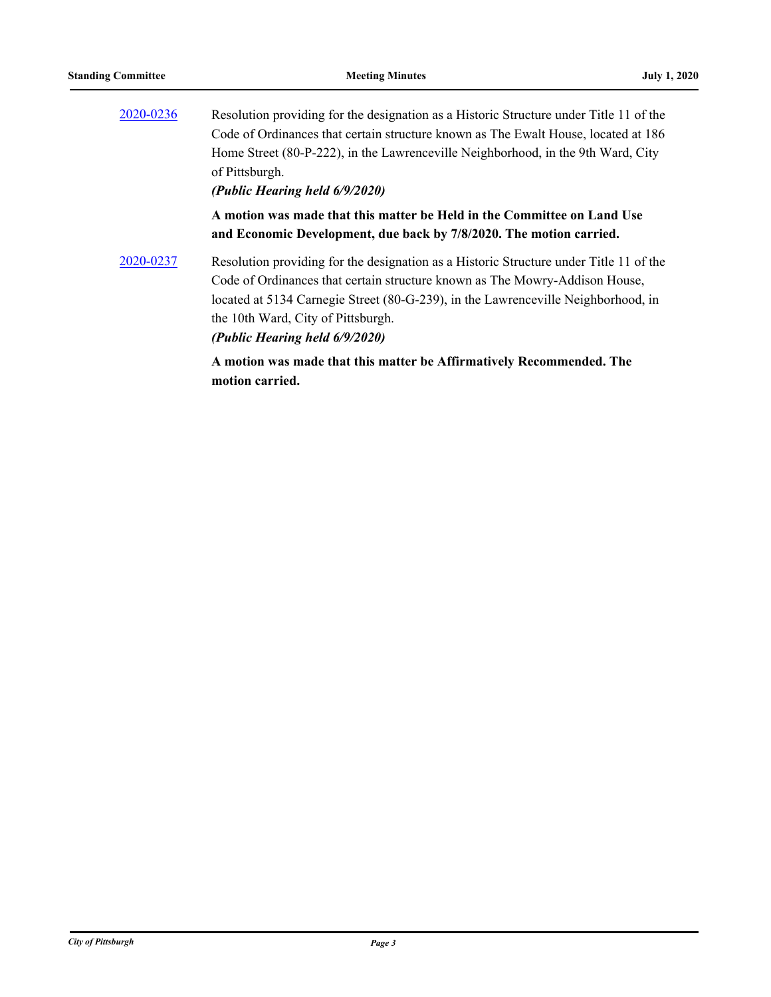| 2020-0236 | Resolution providing for the designation as a Historic Structure under Title 11 of the                                                                                |
|-----------|-----------------------------------------------------------------------------------------------------------------------------------------------------------------------|
|           | Code of Ordinances that certain structure known as The Ewalt House, located at 186                                                                                    |
|           | Home Street (80-P-222), in the Lawrenceville Neighborhood, in the 9th Ward, City                                                                                      |
|           | of Pittsburgh.                                                                                                                                                        |
|           | (Public Hearing held 6/9/2020)                                                                                                                                        |
|           | A motion was made that this matter be Held in the Committee on Land Use<br>and Economic Development, due back by 7/8/2020. The motion carried.                        |
| 2020-0237 | Resolution providing for the designation as a Historic Structure under Title 11 of the<br>Code of Ordinances that certain structure known as The Mowry-Addison House, |
|           | located at 5134 Carnegie Street (80-G-239), in the Lawrenceville Neighborhood, in                                                                                     |
|           | the 10th Ward, City of Pittsburgh.                                                                                                                                    |
|           | (Public Hearing held 6/9/2020)                                                                                                                                        |
|           | A motion was made that this matter be Affirmatively Recommended. The<br>motion carried.                                                                               |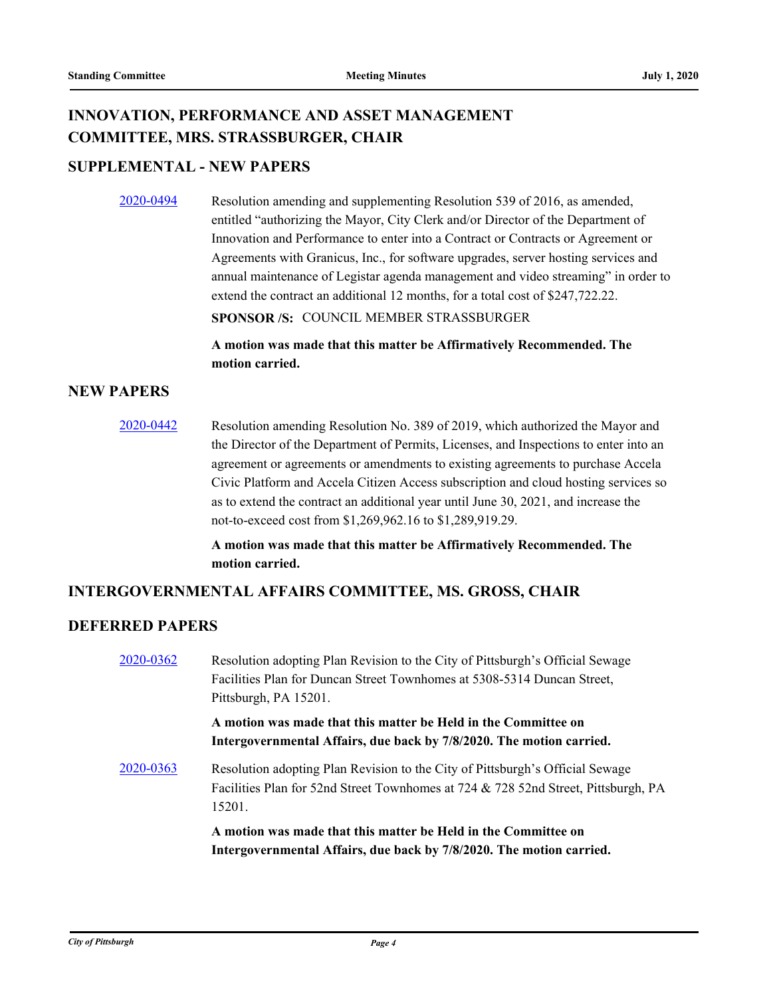# **INNOVATION, PERFORMANCE AND ASSET MANAGEMENT COMMITTEE, MRS. STRASSBURGER, CHAIR**

# **SUPPLEMENTAL - NEW PAPERS**

[2020-0494](http://pittsburgh.legistar.com/gateway.aspx?m=l&id=/matter.aspx?key=25296) Resolution amending and supplementing Resolution 539 of 2016, as amended, entitled "authorizing the Mayor, City Clerk and/or Director of the Department of Innovation and Performance to enter into a Contract or Contracts or Agreement or Agreements with Granicus, Inc., for software upgrades, server hosting services and annual maintenance of Legistar agenda management and video streaming" in order to extend the contract an additional 12 months, for a total cost of \$247,722.22.

**SPONSOR /S:** COUNCIL MEMBER STRASSBURGER

**A motion was made that this matter be Affirmatively Recommended. The motion carried.**

#### **NEW PAPERS**

[2020-0442](http://pittsburgh.legistar.com/gateway.aspx?m=l&id=/matter.aspx?key=25243) Resolution amending Resolution No. 389 of 2019, which authorized the Mayor and the Director of the Department of Permits, Licenses, and Inspections to enter into an agreement or agreements or amendments to existing agreements to purchase Accela Civic Platform and Accela Citizen Access subscription and cloud hosting services so as to extend the contract an additional year until June 30, 2021, and increase the not-to-exceed cost from \$1,269,962.16 to \$1,289,919.29.

> **A motion was made that this matter be Affirmatively Recommended. The motion carried.**

## **INTERGOVERNMENTAL AFFAIRS COMMITTEE, MS. GROSS, CHAIR**

# **DEFERRED PAPERS**

| 2020-0362 | Resolution adopting Plan Revision to the City of Pittsburgh's Official Sewage<br>Facilities Plan for Duncan Street Townhomes at 5308-5314 Duncan Street,<br>Pittsburgh, PA 15201. |
|-----------|-----------------------------------------------------------------------------------------------------------------------------------------------------------------------------------|
|           | A motion was made that this matter be Held in the Committee on<br>Intergovernmental Affairs, due back by 7/8/2020. The motion carried.                                            |
| 2020-0363 | Resolution adopting Plan Revision to the City of Pittsburgh's Official Sewage<br>Facilities Plan for 52nd Street Townhomes at 724 & 728 52nd Street, Pittsburgh, PA<br>15201.     |
|           | A motion was made that this matter be Held in the Committee on<br>Intergovernmental Affairs, due back by 7/8/2020. The motion carried.                                            |